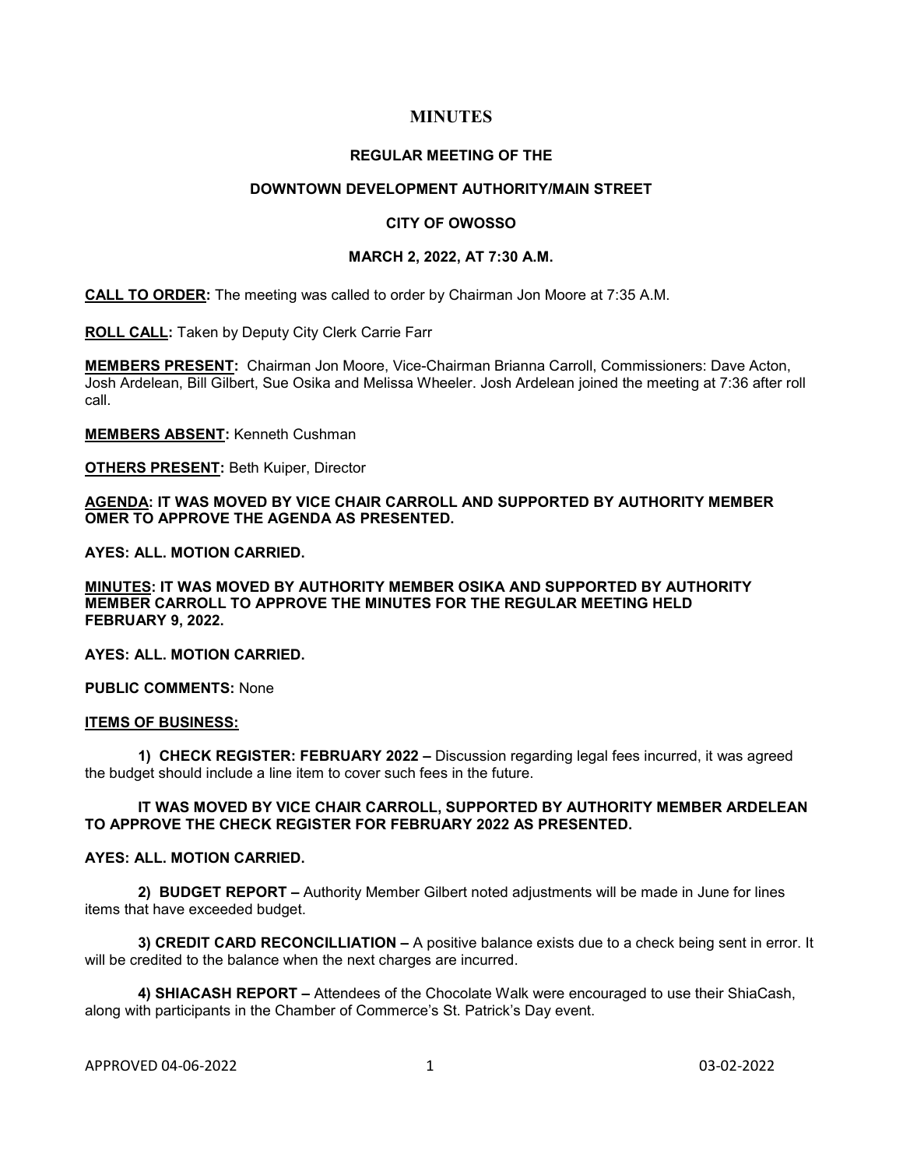# **MINUTES**

### **REGULAR MEETING OF THE**

## **DOWNTOWN DEVELOPMENT AUTHORITY/MAIN STREET**

## **CITY OF OWOSSO**

## **MARCH 2, 2022, AT 7:30 A.M.**

**CALL TO ORDER:** The meeting was called to order by Chairman Jon Moore at 7:35 A.M.

**ROLL CALL:** Taken by Deputy City Clerk Carrie Farr

**MEMBERS PRESENT:** Chairman Jon Moore, Vice-Chairman Brianna Carroll, Commissioners: Dave Acton, Josh Ardelean, Bill Gilbert, Sue Osika and Melissa Wheeler. Josh Ardelean joined the meeting at 7:36 after roll call.

**MEMBERS ABSENT:** Kenneth Cushman

**OTHERS PRESENT:** Beth Kuiper, Director

## **AGENDA: IT WAS MOVED BY VICE CHAIR CARROLL AND SUPPORTED BY AUTHORITY MEMBER OMER TO APPROVE THE AGENDA AS PRESENTED.**

**AYES: ALL. MOTION CARRIED.** 

**MINUTES: IT WAS MOVED BY AUTHORITY MEMBER OSIKA AND SUPPORTED BY AUTHORITY MEMBER CARROLL TO APPROVE THE MINUTES FOR THE REGULAR MEETING HELD FEBRUARY 9, 2022.** 

**AYES: ALL. MOTION CARRIED.**

**PUBLIC COMMENTS:** None

## **ITEMS OF BUSINESS:**

**1) CHECK REGISTER: FEBRUARY 2022 –** Discussion regarding legal fees incurred, it was agreed the budget should include a line item to cover such fees in the future.

## **IT WAS MOVED BY VICE CHAIR CARROLL, SUPPORTED BY AUTHORITY MEMBER ARDELEAN TO APPROVE THE CHECK REGISTER FOR FEBRUARY 2022 AS PRESENTED.**

## **AYES: ALL. MOTION CARRIED.**

**2) BUDGET REPORT –** Authority Member Gilbert noted adjustments will be made in June for lines items that have exceeded budget.

**3) CREDIT CARD RECONCILLIATION –** A positive balance exists due to a check being sent in error. It will be credited to the balance when the next charges are incurred.

**4) SHIACASH REPORT –** Attendees of the Chocolate Walk were encouraged to use their ShiaCash, along with participants in the Chamber of Commerce's St. Patrick's Day event.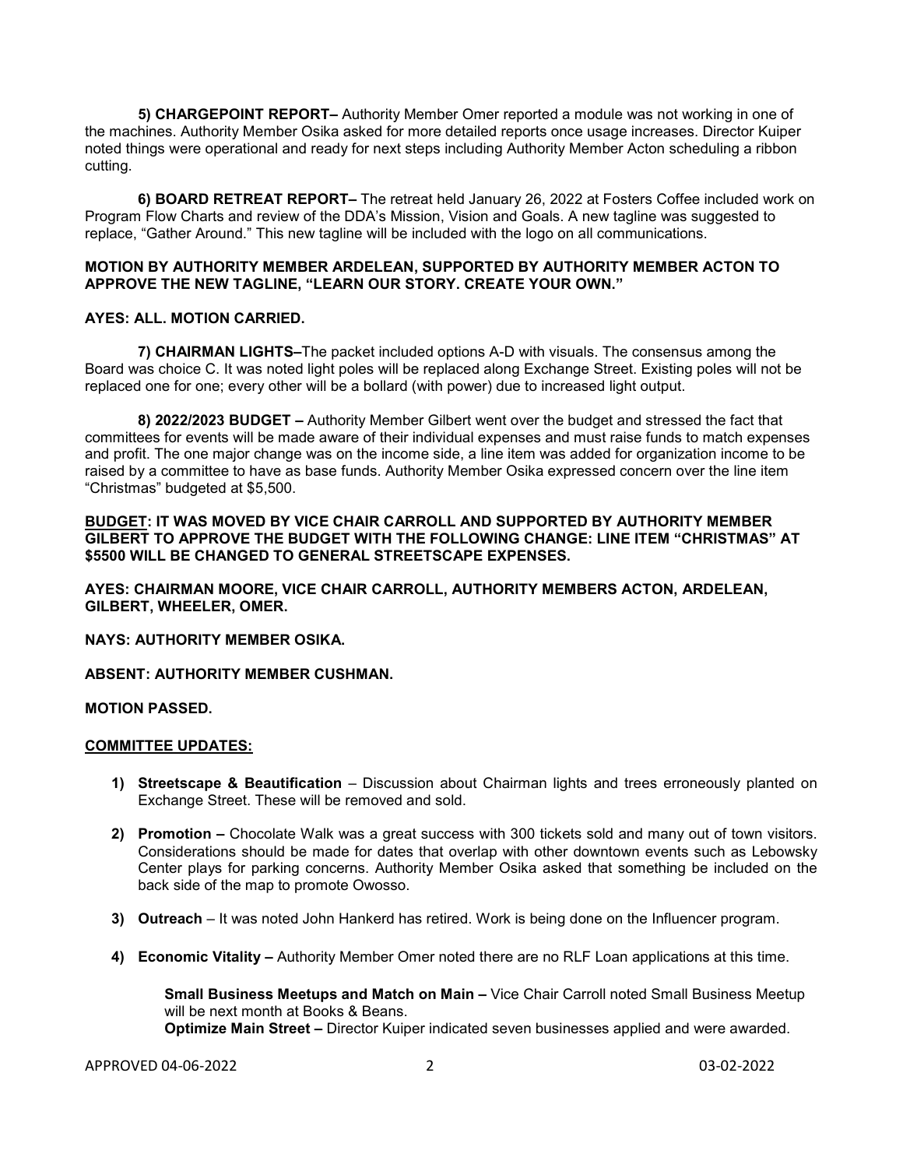**5) CHARGEPOINT REPORT–** Authority Member Omer reported a module was not working in one of the machines. Authority Member Osika asked for more detailed reports once usage increases. Director Kuiper noted things were operational and ready for next steps including Authority Member Acton scheduling a ribbon cutting.

**6) BOARD RETREAT REPORT–** The retreat held January 26, 2022 at Fosters Coffee included work on Program Flow Charts and review of the DDA's Mission, Vision and Goals. A new tagline was suggested to replace, "Gather Around." This new tagline will be included with the logo on all communications.

## **MOTION BY AUTHORITY MEMBER ARDELEAN, SUPPORTED BY AUTHORITY MEMBER ACTON TO APPROVE THE NEW TAGLINE, "LEARN OUR STORY. CREATE YOUR OWN."**

## **AYES: ALL. MOTION CARRIED.**

**7) CHAIRMAN LIGHTS–**The packet included options A-D with visuals. The consensus among the Board was choice C. It was noted light poles will be replaced along Exchange Street. Existing poles will not be replaced one for one; every other will be a bollard (with power) due to increased light output.

**8) 2022/2023 BUDGET –** Authority Member Gilbert went over the budget and stressed the fact that committees for events will be made aware of their individual expenses and must raise funds to match expenses and profit. The one major change was on the income side, a line item was added for organization income to be raised by a committee to have as base funds. Authority Member Osika expressed concern over the line item "Christmas" budgeted at \$5,500.

## **BUDGET: IT WAS MOVED BY VICE CHAIR CARROLL AND SUPPORTED BY AUTHORITY MEMBER GILBERT TO APPROVE THE BUDGET WITH THE FOLLOWING CHANGE: LINE ITEM "CHRISTMAS" AT \$5500 WILL BE CHANGED TO GENERAL STREETSCAPE EXPENSES.**

**AYES: CHAIRMAN MOORE, VICE CHAIR CARROLL, AUTHORITY MEMBERS ACTON, ARDELEAN, GILBERT, WHEELER, OMER.**

# **NAYS: AUTHORITY MEMBER OSIKA.**

**ABSENT: AUTHORITY MEMBER CUSHMAN.**

### **MOTION PASSED.**

#### **COMMITTEE UPDATES:**

- **1) Streetscape & Beautification** Discussion about Chairman lights and trees erroneously planted on Exchange Street. These will be removed and sold.
- **2) Promotion –** Chocolate Walk was a great success with 300 tickets sold and many out of town visitors. Considerations should be made for dates that overlap with other downtown events such as Lebowsky Center plays for parking concerns. Authority Member Osika asked that something be included on the back side of the map to promote Owosso.
- **3) Outreach**  It was noted John Hankerd has retired. Work is being done on the Influencer program.
- **4) Economic Vitality –** Authority Member Omer noted there are no RLF Loan applications at this time.

**Small Business Meetups and Match on Main –** Vice Chair Carroll noted Small Business Meetup will be next month at Books & Beans. **Optimize Main Street –** Director Kuiper indicated seven businesses applied and were awarded.